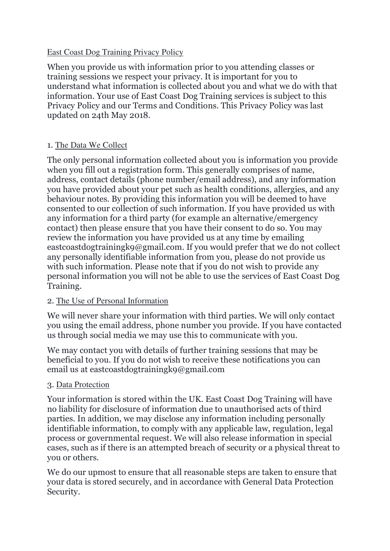### East Coast Dog Training Privacy Policy

When you provide us with information prior to you attending classes or training sessions we respect your privacy. It is important for you to understand what information is collected about you and what we do with that information. Your use of East Coast Dog Training services is subject to this Privacy Policy and our Terms and Conditions. This Privacy Policy was last updated on 24th May 2018.

# 1. The Data We Collect

The only personal information collected about you is information you provide when you fill out a registration form. This generally comprises of name, address, contact details (phone number/email address), and any information you have provided about your pet such as health conditions, allergies, and any behaviour notes. By providing this information you will be deemed to have consented to our collection of such information. If you have provided us with any information for a third party (for example an alternative/emergency contact) then please ensure that you have their consent to do so. You may review the information you have provided us at any time by emailing eastcoastdogtrainingk9@gmail.com. If you would prefer that we do not collect any personally identifiable information from you, please do not provide us with such information. Please note that if you do not wish to provide any personal information you will not be able to use the services of East Coast Dog Training.

# 2. The Use of Personal Information

We will never share your information with third parties. We will only contact you using the email address, phone number you provide. If you have contacted us through social media we may use this to communicate with you.

We may contact you with details of further training sessions that may be beneficial to you. If you do not wish to receive these notifications you can email us at eastcoastdogtrainingk9@gmail.com

# 3. Data Protection

Your information is stored within the UK. East Coast Dog Training will have no liability for disclosure of information due to unauthorised acts of third parties. In addition, we may disclose any information including personally identifiable information, to comply with any applicable law, regulation, legal process or governmental request. We will also release information in special cases, such as if there is an attempted breach of security or a physical threat to you or others.

We do our upmost to ensure that all reasonable steps are taken to ensure that your data is stored securely, and in accordance with General Data Protection Security.